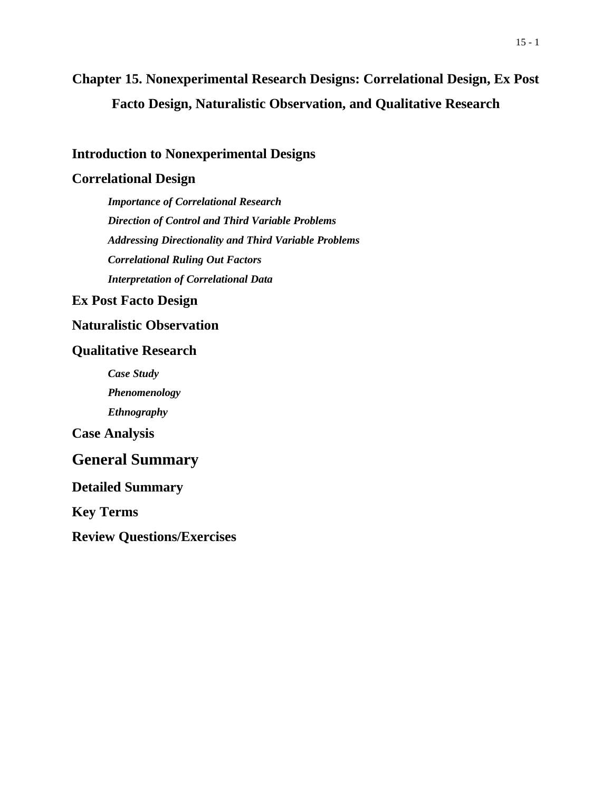# **Chapter 15. Nonexperimental Research Designs: Correlational Design, Ex Post Facto Design, Naturalistic Observation, and Qualitative Research**

# **Introduction to Nonexperimental Designs**

# **Correlational Design**

*Importance of Correlational Research Direction of Control and Third Variable Problems Addressing Directionality and Third Variable Problems Correlational Ruling Out Factors Interpretation of Correlational Data*

# **Ex Post Facto Design**

# **Naturalistic Observation**

# **Qualitative Research**

*Case Study Phenomenology*

*Ethnography*

**Case Analysis**

# **General Summary**

# **Detailed Summary**

**Key Terms** 

**Review Questions/Exercises**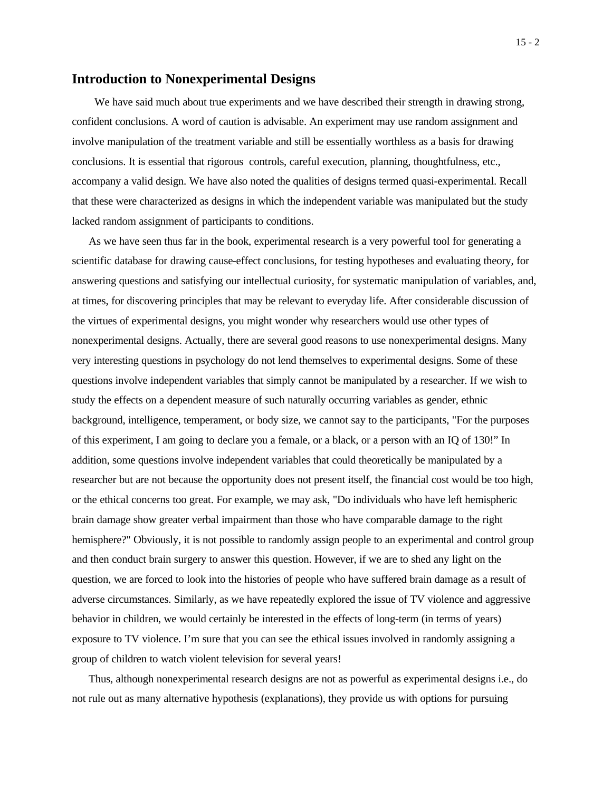### **Introduction to Nonexperimental Designs**

We have said much about true experiments and we have described their strength in drawing strong, confident conclusions. A word of caution is advisable. An experiment may use random assignment and involve manipulation of the treatment variable and still be essentially worthless as a basis for drawing conclusions. It is essential that rigorous controls, careful execution, planning, thoughtfulness, etc., accompany a valid design. We have also noted the qualities of designs termed quasi-experimental. Recall that these were characterized as designs in which the independent variable was manipulated but the study lacked random assignment of participants to conditions.

As we have seen thus far in the book, experimental research is a very powerful tool for generating a scientific database for drawing cause-effect conclusions, for testing hypotheses and evaluating theory, for answering questions and satisfying our intellectual curiosity, for systematic manipulation of variables, and, at times, for discovering principles that may be relevant to everyday life. After considerable discussion of the virtues of experimental designs, you might wonder why researchers would use other types of nonexperimental designs. Actually, there are several good reasons to use nonexperimental designs. Many very interesting questions in psychology do not lend themselves to experimental designs. Some of these questions involve independent variables that simply cannot be manipulated by a researcher. If we wish to study the effects on a dependent measure of such naturally occurring variables as gender, ethnic background, intelligence, temperament, or body size, we cannot say to the participants, "For the purposes of this experiment, I am going to declare you a female, or a black, or a person with an IQ of 130!" In addition, some questions involve independent variables that could theoretically be manipulated by a researcher but are not because the opportunity does not present itself, the financial cost would be too high, or the ethical concerns too great. For example, we may ask, "Do individuals who have left hemispheric brain damage show greater verbal impairment than those who have comparable damage to the right hemisphere?" Obviously, it is not possible to randomly assign people to an experimental and control group and then conduct brain surgery to answer this question. However, if we are to shed any light on the question, we are forced to look into the histories of people who have suffered brain damage as a result of adverse circumstances. Similarly, as we have repeatedly explored the issue of TV violence and aggressive behavior in children, we would certainly be interested in the effects of long-term (in terms of years) exposure to TV violence. I'm sure that you can see the ethical issues involved in randomly assigning a group of children to watch violent television for several years!

Thus, although nonexperimental research designs are not as powerful as experimental designs i.e., do not rule out as many alternative hypothesis (explanations), they provide us with options for pursuing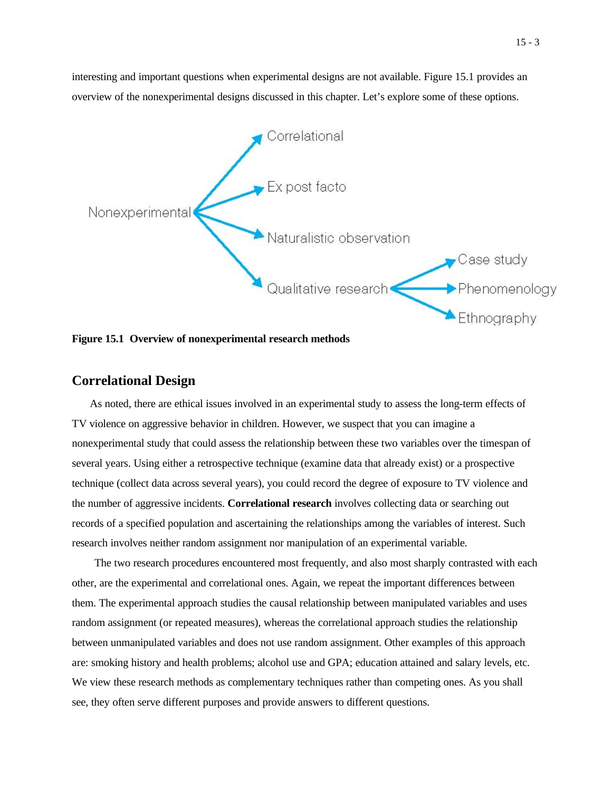interesting and important questions when experimental designs are not available. Figure 15.1 provides an overview of the nonexperimental designs discussed in this chapter. Let's explore some of these options.



**Figure 15.1 Overview of nonexperimental research methods**

### **Correlational Design**

As noted, there are ethical issues involved in an experimental study to assess the long-term effects of TV violence on aggressive behavior in children. However, we suspect that you can imagine a nonexperimental study that could assess the relationship between these two variables over the timespan of several years. Using either a retrospective technique (examine data that already exist) or a prospective technique (collect data across several years), you could record the degree of exposure to TV violence and the number of aggressive incidents. **Correlational research** involves collecting data or searching out records of a specified population and ascertaining the relationships among the variables of interest. Such research involves neither random assignment nor manipulation of an experimental variable.

The two research procedures encountered most frequently, and also most sharply contrasted with each other, are the experimental and correlational ones. Again, we repeat the important differences between them. The experimental approach studies the causal relationship between manipulated variables and uses random assignment (or repeated measures), whereas the correlational approach studies the relationship between unmanipulated variables and does not use random assignment. Other examples of this approach are: smoking history and health problems; alcohol use and GPA; education attained and salary levels, etc. We view these research methods as complementary techniques rather than competing ones. As you shall see, they often serve different purposes and provide answers to different questions.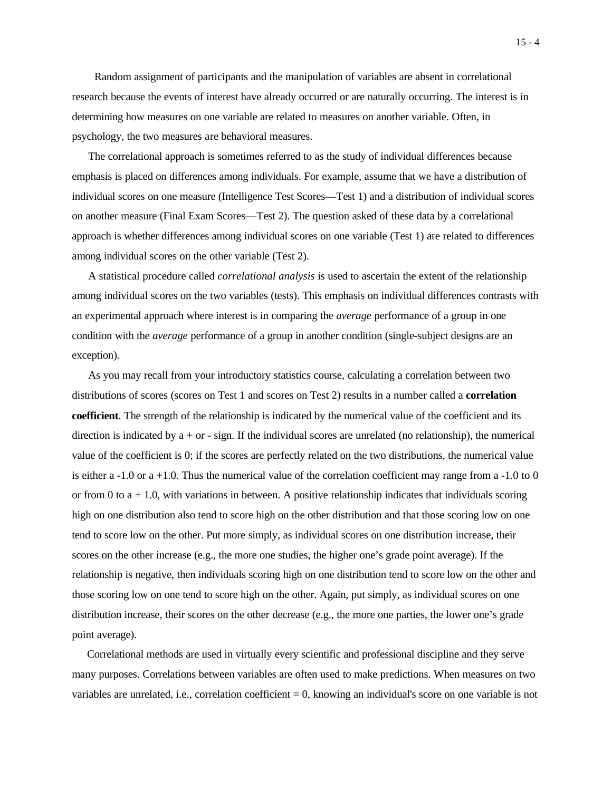Random assignment of participants and the manipulation of variables are absent in correlational research because the events of interest have already occurred or are naturally occurring. The interest is in determining how measures on one variable are related to measures on another variable. Often, in psychology, the two measures are behavioral measures.

The correlational approach is sometimes referred to as the study of individual differences because emphasis is placed on differences among individuals. For example, assume that we have a distribution of individual scores on one measure (Intelligence Test Scores—Test 1) and a distribution of individual scores on another measure (Final Exam Scores—Test 2). The question asked of these data by a correlational approach is whether differences among individual scores on one variable (Test 1) are related to differences among individual scores on the other variable (Test 2).

A statistical procedure called *correlational analysis* is used to ascertain the extent of the relationship among individual scores on the two variables (tests). This emphasis on individual differences contrasts with an experimental approach where interest is in comparing the *average* performance of a group in one condition with the *average* performance of a group in another condition (single-subject designs are an exception).

As you may recall from your introductory statistics course, calculating a correlation between two distributions of scores (scores on Test 1 and scores on Test 2) results in a number called a **correlation coefficient**. The strength of the relationship is indicated by the numerical value of the coefficient and its direction is indicated by  $a + or - sign$ . If the individual scores are unrelated (no relationship), the numerical value of the coefficient is 0; if the scores are perfectly related on the two distributions, the numerical value is either a  $-1.0$  or a  $+1.0$ . Thus the numerical value of the correlation coefficient may range from a  $-1.0$  to 0 or from 0 to  $a + 1.0$ , with variations in between. A positive relationship indicates that individuals scoring high on one distribution also tend to score high on the other distribution and that those scoring low on one tend to score low on the other. Put more simply, as individual scores on one distribution increase, their scores on the other increase (e.g., the more one studies, the higher one's grade point average). If the relationship is negative, then individuals scoring high on one distribution tend to score low on the other and those scoring low on one tend to score high on the other. Again, put simply, as individual scores on one distribution increase, their scores on the other decrease (e.g., the more one parties, the lower one's grade point average).

Correlational methods are used in virtually every scientific and professional discipline and they serve many purposes. Correlations between variables are often used to make predictions. When measures on two variables are unrelated, i.e., correlation coefficient = 0, knowing an individual's score on one variable is not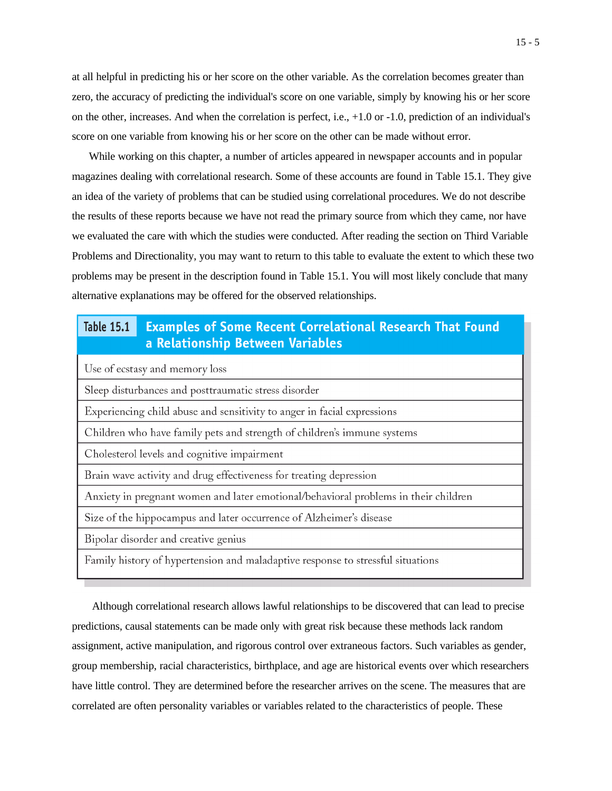at all helpful in predicting his or her score on the other variable. As the correlation becomes greater than zero, the accuracy of predicting the individual's score on one variable, simply by knowing his or her score on the other, increases. And when the correlation is perfect, i.e., +1.0 or -1.0, prediction of an individual's score on one variable from knowing his or her score on the other can be made without error.

While working on this chapter, a number of articles appeared in newspaper accounts and in popular magazines dealing with correlational research. Some of these accounts are found in Table 15.1. They give an idea of the variety of problems that can be studied using correlational procedures. We do not describe the results of these reports because we have not read the primary source from which they came, nor have we evaluated the care with which the studies were conducted. After reading the section on Third Variable Problems and Directionality, you may want to return to this table to evaluate the extent to which these two problems may be present in the description found in Table 15.1. You will most likely conclude that many alternative explanations may be offered for the observed relationships.

#### **Table 15.1 Examples of Some Recent Correlational Research That Found** a Relationship Between Variables

|  | Use of ecstasy and memory loss |  |
|--|--------------------------------|--|
|  |                                |  |

Sleep disturbances and posttraumatic stress disorder

Experiencing child abuse and sensitivity to anger in facial expressions

Children who have family pets and strength of children's immune systems

Cholesterol levels and cognitive impairment

Brain wave activity and drug effectiveness for treating depression

Anxiety in pregnant women and later emotional/behavioral problems in their children

Size of the hippocampus and later occurrence of Alzheimer's disease

Bipolar disorder and creative genius

Family history of hypertension and maladaptive response to stressful situations

Although correlational research allows lawful relationships to be discovered that can lead to precise predictions, causal statements can be made only with great risk because these methods lack random assignment, active manipulation, and rigorous control over extraneous factors. Such variables as gender, group membership, racial characteristics, birthplace, and age are historical events over which researchers have little control. They are determined before the researcher arrives on the scene. The measures that are correlated are often personality variables or variables related to the characteristics of people. These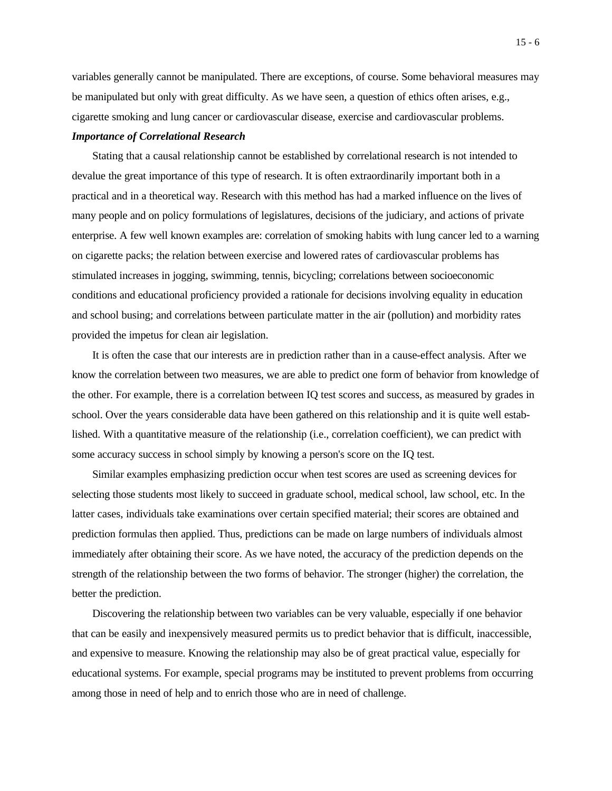variables generally cannot be manipulated. There are exceptions, of course. Some behavioral measures may be manipulated but only with great difficulty. As we have seen, a question of ethics often arises, e.g., cigarette smoking and lung cancer or cardiovascular disease, exercise and cardiovascular problems.

#### *Importance of Correlational Research*

Stating that a causal relationship cannot be established by correlational research is not intended to devalue the great importance of this type of research. It is often extraordinarily important both in a practical and in a theoretical way. Research with this method has had a marked influence on the lives of many people and on policy formulations of legislatures, decisions of the judiciary, and actions of private enterprise. A few well known examples are: correlation of smoking habits with lung cancer led to a warning on cigarette packs; the relation between exercise and lowered rates of cardiovascular problems has stimulated increases in jogging, swimming, tennis, bicycling; correlations between socioeconomic conditions and educational proficiency provided a rationale for decisions involving equality in education and school busing; and correlations between particulate matter in the air (pollution) and morbidity rates provided the impetus for clean air legislation.

It is often the case that our interests are in prediction rather than in a cause-effect analysis. After we know the correlation between two measures, we are able to predict one form of behavior from knowledge of the other. For example, there is a correlation between IQ test scores and success, as measured by grades in school. Over the years considerable data have been gathered on this relationship and it is quite well established. With a quantitative measure of the relationship (i.e., correlation coefficient), we can predict with some accuracy success in school simply by knowing a person's score on the IQ test.

Similar examples emphasizing prediction occur when test scores are used as screening devices for selecting those students most likely to succeed in graduate school, medical school, law school, etc. In the latter cases, individuals take examinations over certain specified material; their scores are obtained and prediction formulas then applied. Thus, predictions can be made on large numbers of individuals almost immediately after obtaining their score. As we have noted, the accuracy of the prediction depends on the strength of the relationship between the two forms of behavior. The stronger (higher) the correlation, the better the prediction.

Discovering the relationship between two variables can be very valuable, especially if one behavior that can be easily and inexpensively measured permits us to predict behavior that is difficult, inaccessible, and expensive to measure. Knowing the relationship may also be of great practical value, especially for educational systems. For example, special programs may be instituted to prevent problems from occurring among those in need of help and to enrich those who are in need of challenge.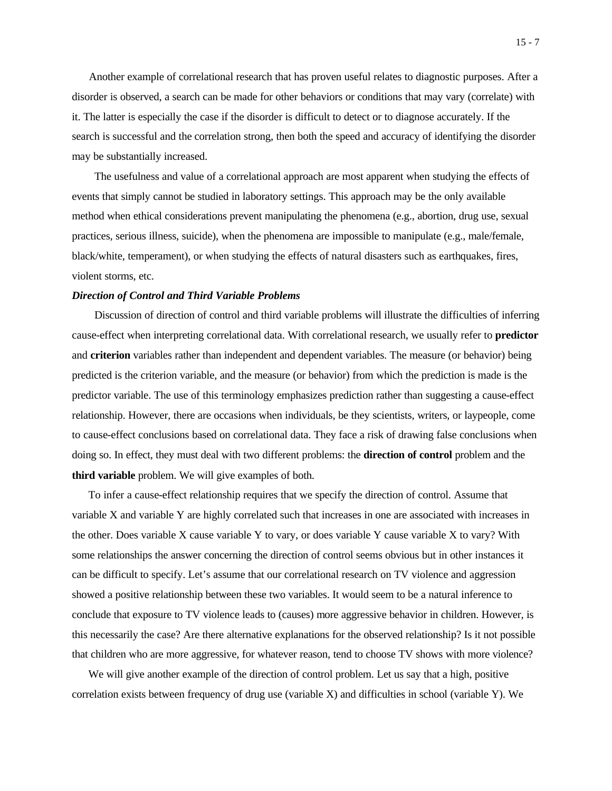Another example of correlational research that has proven useful relates to diagnostic purposes. After a disorder is observed, a search can be made for other behaviors or conditions that may vary (correlate) with it. The latter is especially the case if the disorder is difficult to detect or to diagnose accurately. If the search is successful and the correlation strong, then both the speed and accuracy of identifying the disorder may be substantially increased.

The usefulness and value of a correlational approach are most apparent when studying the effects of events that simply cannot be studied in laboratory settings. This approach may be the only available method when ethical considerations prevent manipulating the phenomena (e.g., abortion, drug use, sexual practices, serious illness, suicide), when the phenomena are impossible to manipulate (e.g., male/female, black/white, temperament), or when studying the effects of natural disasters such as earthquakes, fires, violent storms, etc.

#### *Direction of Control and Third Variable Problems*

Discussion of direction of control and third variable problems will illustrate the difficulties of inferring cause-effect when interpreting correlational data. With correlational research, we usually refer to **predictor**  and **criterion** variables rather than independent and dependent variables. The measure (or behavior) being predicted is the criterion variable, and the measure (or behavior) from which the prediction is made is the predictor variable. The use of this terminology emphasizes prediction rather than suggesting a cause-effect relationship. However, there are occasions when individuals, be they scientists, writers, or laypeople, come to cause-effect conclusions based on correlational data. They face a risk of drawing false conclusions when doing so. In effect, they must deal with two different problems: the **direction of control** problem and the **third variable** problem. We will give examples of both.

To infer a cause-effect relationship requires that we specify the direction of control. Assume that variable X and variable Y are highly correlated such that increases in one are associated with increases in the other. Does variable X cause variable Y to vary, or does variable Y cause variable X to vary? With some relationships the answer concerning the direction of control seems obvious but in other instances it can be difficult to specify. Let's assume that our correlational research on TV violence and aggression showed a positive relationship between these two variables. It would seem to be a natural inference to conclude that exposure to TV violence leads to (causes) more aggressive behavior in children. However, is this necessarily the case? Are there alternative explanations for the observed relationship? Is it not possible that children who are more aggressive, for whatever reason, tend to choose TV shows with more violence?

We will give another example of the direction of control problem. Let us say that a high, positive correlation exists between frequency of drug use (variable X) and difficulties in school (variable Y). We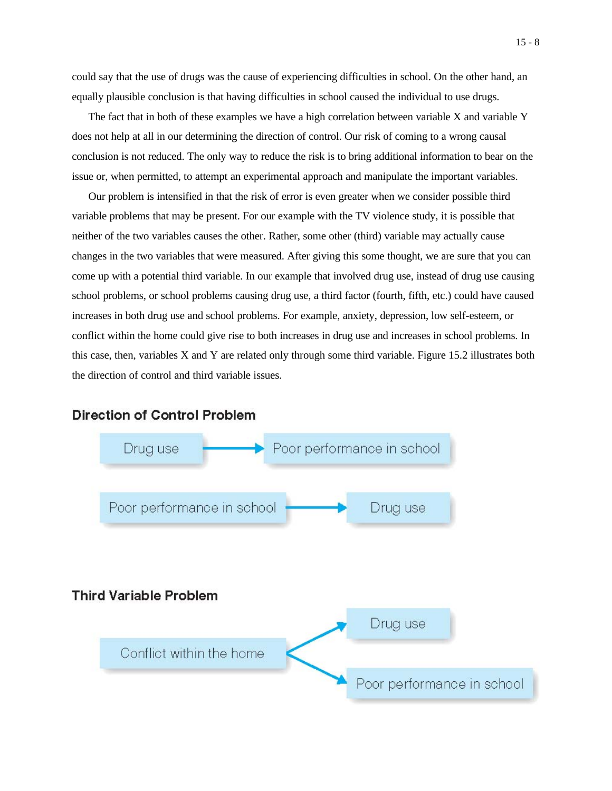could say that the use of drugs was the cause of experiencing difficulties in school. On the other hand, an equally plausible conclusion is that having difficulties in school caused the individual to use drugs.

The fact that in both of these examples we have a high correlation between variable X and variable Y does not help at all in our determining the direction of control. Our risk of coming to a wrong causal conclusion is not reduced. The only way to reduce the risk is to bring additional information to bear on the issue or, when permitted, to attempt an experimental approach and manipulate the important variables.

Our problem is intensified in that the risk of error is even greater when we consider possible third variable problems that may be present. For our example with the TV violence study, it is possible that neither of the two variables causes the other. Rather, some other (third) variable may actually cause changes in the two variables that were measured. After giving this some thought, we are sure that you can come up with a potential third variable. In our example that involved drug use, instead of drug use causing school problems, or school problems causing drug use, a third factor (fourth, fifth, etc.) could have caused increases in both drug use and school problems. For example, anxiety, depression, low self-esteem, or conflict within the home could give rise to both increases in drug use and increases in school problems. In this case, then, variables X and Y are related only through some third variable. Figure 15.2 illustrates both the direction of control and third variable issues.



### Direction of Control Problem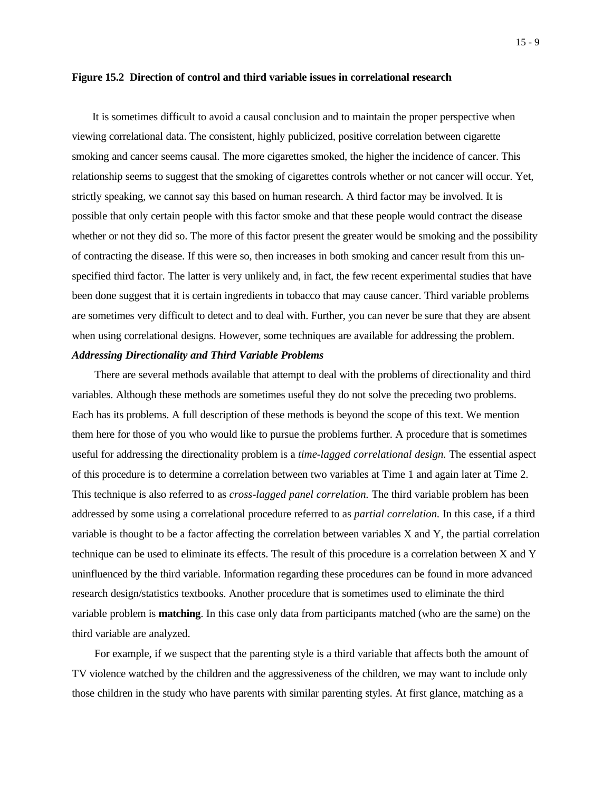#### **Figure 15.2 Direction of control and third variable issues in correlational research**

It is sometimes difficult to avoid a causal conclusion and to maintain the proper perspective when viewing correlational data. The consistent, highly publicized, positive correlation between cigarette smoking and cancer seems causal. The more cigarettes smoked, the higher the incidence of cancer. This relationship seems to suggest that the smoking of cigarettes controls whether or not cancer will occur. Yet, strictly speaking, we cannot say this based on human research. A third factor may be involved. It is possible that only certain people with this factor smoke and that these people would contract the disease whether or not they did so. The more of this factor present the greater would be smoking and the possibility of contracting the disease. If this were so, then increases in both smoking and cancer result from this unspecified third factor. The latter is very unlikely and, in fact, the few recent experimental studies that have been done suggest that it is certain ingredients in tobacco that may cause cancer. Third variable problems are sometimes very difficult to detect and to deal with. Further, you can never be sure that they are absent when using correlational designs. However, some techniques are available for addressing the problem. *Addressing Directionality and Third Variable Problems*

There are several methods available that attempt to deal with the problems of directionality and third variables. Although these methods are sometimes useful they do not solve the preceding two problems. Each has its problems. A full description of these methods is beyond the scope of this text. We mention them here for those of you who would like to pursue the problems further. A procedure that is sometimes useful for addressing the directionality problem is a *time-lagged correlational design.* The essential aspect of this procedure is to determine a correlation between two variables at Time 1 and again later at Time 2. This technique is also referred to as *cross-lagged panel correlation.* The third variable problem has been addressed by some using a correlational procedure referred to as *partial correlation.* In this case, if a third variable is thought to be a factor affecting the correlation between variables X and Y, the partial correlation technique can be used to eliminate its effects. The result of this procedure is a correlation between X and Y uninfluenced by the third variable. Information regarding these procedures can be found in more advanced research design/statistics textbooks. Another procedure that is sometimes used to eliminate the third variable problem is **matching**. In this case only data from participants matched (who are the same) on the third variable are analyzed.

For example, if we suspect that the parenting style is a third variable that affects both the amount of TV violence watched by the children and the aggressiveness of the children, we may want to include only those children in the study who have parents with similar parenting styles. At first glance, matching as a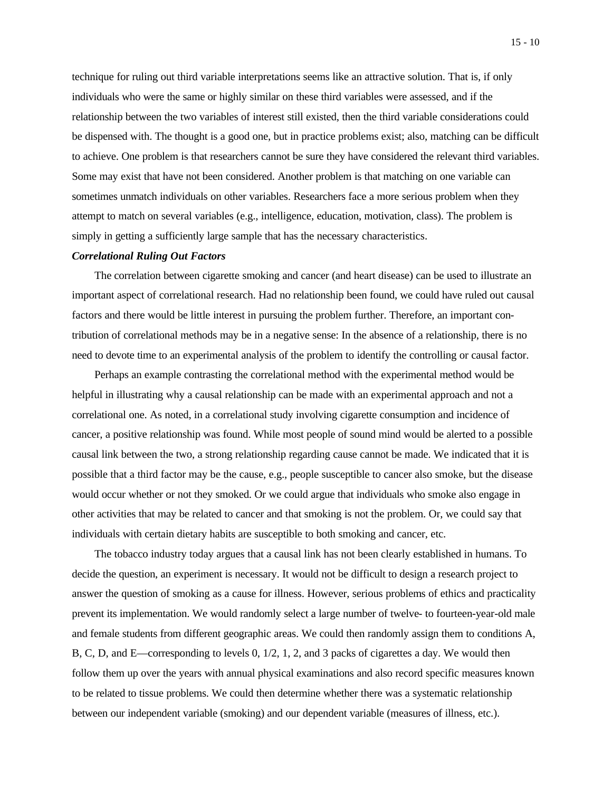technique for ruling out third variable interpretations seems like an attractive solution. That is, if only individuals who were the same or highly similar on these third variables were assessed, and if the relationship between the two variables of interest still existed, then the third variable considerations could be dispensed with. The thought is a good one, but in practice problems exist; also, matching can be difficult to achieve. One problem is that researchers cannot be sure they have considered the relevant third variables. Some may exist that have not been considered. Another problem is that matching on one variable can sometimes unmatch individuals on other variables. Researchers face a more serious problem when they attempt to match on several variables (e.g., intelligence, education, motivation, class). The problem is simply in getting a sufficiently large sample that has the necessary characteristics.

#### *Correlational Ruling Out Factors*

The correlation between cigarette smoking and cancer (and heart disease) can be used to illustrate an important aspect of correlational research. Had no relationship been found, we could have ruled out causal factors and there would be little interest in pursuing the problem further. Therefore, an important contribution of correlational methods may be in a negative sense: In the absence of a relationship, there is no need to devote time to an experimental analysis of the problem to identify the controlling or causal factor.

Perhaps an example contrasting the correlational method with the experimental method would be helpful in illustrating why a causal relationship can be made with an experimental approach and not a correlational one. As noted, in a correlational study involving cigarette consumption and incidence of cancer, a positive relationship was found. While most people of sound mind would be alerted to a possible causal link between the two, a strong relationship regarding cause cannot be made. We indicated that it is possible that a third factor may be the cause, e.g., people susceptible to cancer also smoke, but the disease would occur whether or not they smoked. Or we could argue that individuals who smoke also engage in other activities that may be related to cancer and that smoking is not the problem. Or, we could say that individuals with certain dietary habits are susceptible to both smoking and cancer, etc.

The tobacco industry today argues that a causal link has not been clearly established in humans. To decide the question, an experiment is necessary. It would not be difficult to design a research project to answer the question of smoking as a cause for illness. However, serious problems of ethics and practicality prevent its implementation. We would randomly select a large number of twelve- to fourteen-year-old male and female students from different geographic areas. We could then randomly assign them to conditions A, B, C, D, and E—corresponding to levels 0, 1/2, 1, 2, and 3 packs of cigarettes a day. We would then follow them up over the years with annual physical examinations and also record specific measures known to be related to tissue problems. We could then determine whether there was a systematic relationship between our independent variable (smoking) and our dependent variable (measures of illness, etc.).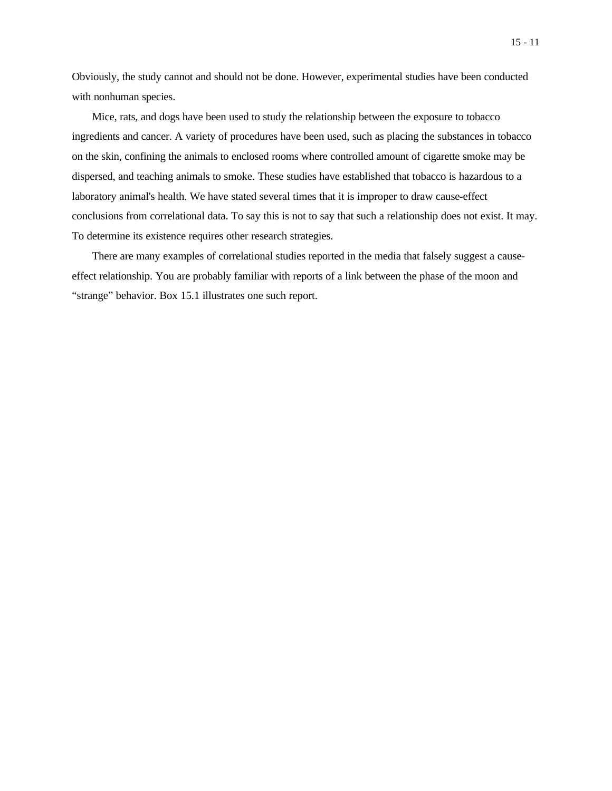Obviously, the study cannot and should not be done. However, experimental studies have been conducted with nonhuman species.

Mice, rats, and dogs have been used to study the relationship between the exposure to tobacco ingredients and cancer. A variety of procedures have been used, such as placing the substances in tobacco on the skin, confining the animals to enclosed rooms where controlled amount of cigarette smoke may be dispersed, and teaching animals to smoke. These studies have established that tobacco is hazardous to a laboratory animal's health. We have stated several times that it is improper to draw cause-effect conclusions from correlational data. To say this is not to say that such a relationship does not exist. It may. To determine its existence requires other research strategies.

There are many examples of correlational studies reported in the media that falsely suggest a causeeffect relationship. You are probably familiar with reports of a link between the phase of the moon and "strange" behavior. Box 15.1 illustrates one such report.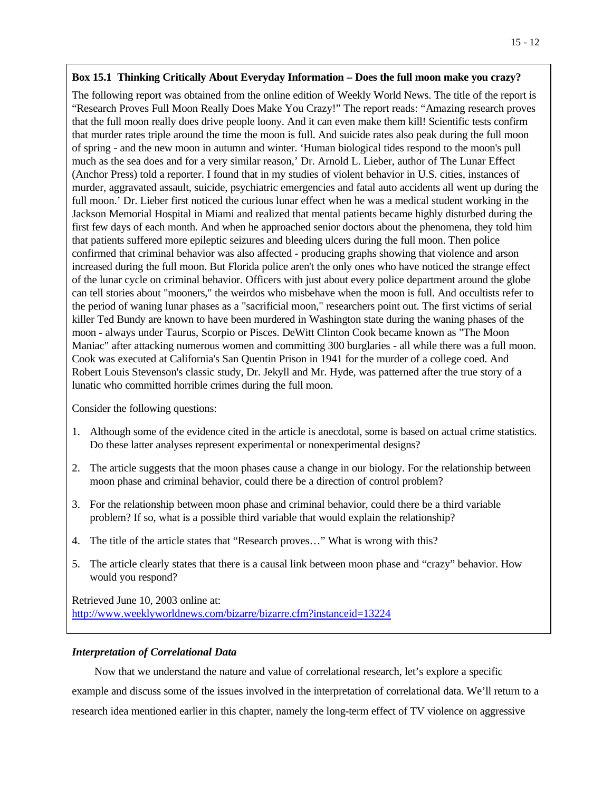#### **Box 15.1 Thinking Critically About Everyday Information – Does the full moon make you crazy?**

The following report was obtained from the online edition of Weekly World News. The title of the report is "Research Proves Full Moon Really Does Make You Crazy!" The report reads: "Amazing research proves that the full moon really does drive people loony. And it can even make them kill! Scientific tests confirm that murder rates triple around the time the moon is full. And suicide rates also peak during the full moon of spring - and the new moon in autumn and winter. 'Human biological tides respond to the moon's pull much as the sea does and for a very similar reason,' Dr. Arnold L. Lieber, author of The Lunar Effect (Anchor Press) told a reporter. I found that in my studies of violent behavior in U.S. cities, instances of murder, aggravated assault, suicide, psychiatric emergencies and fatal auto accidents all went up during the full moon.' Dr. Lieber first noticed the curious lunar effect when he was a medical student working in the Jackson Memorial Hospital in Miami and realized that mental patients became highly disturbed during the first few days of each month. And when he approached senior doctors about the phenomena, they told him that patients suffered more epileptic seizures and bleeding ulcers during the full moon. Then police confirmed that criminal behavior was also affected - producing graphs showing that violence and arson increased during the full moon. But Florida police aren't the only ones who have noticed the strange effect of the lunar cycle on criminal behavior. Officers with just about every police department around the globe can tell stories about "mooners," the weirdos who misbehave when the moon is full. And occultists refer to the period of waning lunar phases as a "sacrificial moon," researchers point out. The first victims of serial killer Ted Bundy are known to have been murdered in Washington state during the waning phases of the moon - always under Taurus, Scorpio or Pisces. DeWitt Clinton Cook became known as "The Moon Maniac" after attacking numerous women and committing 300 burglaries - all while there was a full moon. Cook was executed at California's San Quentin Prison in 1941 for the murder of a college coed. And Robert Louis Stevenson's classic study, Dr. Jekyll and Mr. Hyde, was patterned after the true story of a lunatic who committed horrible crimes during the full moon.

Consider the following questions:

- 1. Although some of the evidence cited in the article is anecdotal, some is based on actual crime statistics. Do these latter analyses represent experimental or nonexperimental designs?
- 2. The article suggests that the moon phases cause a change in our biology. For the relationship between moon phase and criminal behavior, could there be a direction of control problem?
- 3. For the relationship between moon phase and criminal behavior, could there be a third variable problem? If so, what is a possible third variable that would explain the relationship?
- 4. The title of the article states that "Research proves…" What is wrong with this?
- 5. The article clearly states that there is a causal link between moon phase and "crazy" behavior. How would you respond?

Retrieved June 10, 2003 online at: http://www.weeklyworldnews.com/bizarre/bizarre.cfm?instanceid=13224

### *Interpretation of Correlational Data*

Now that we understand the nature and value of correlational research, let's explore a specific example and discuss some of the issues involved in the interpretation of correlational data. We'll return to a research idea mentioned earlier in this chapter, namely the long-term effect of TV violence on aggressive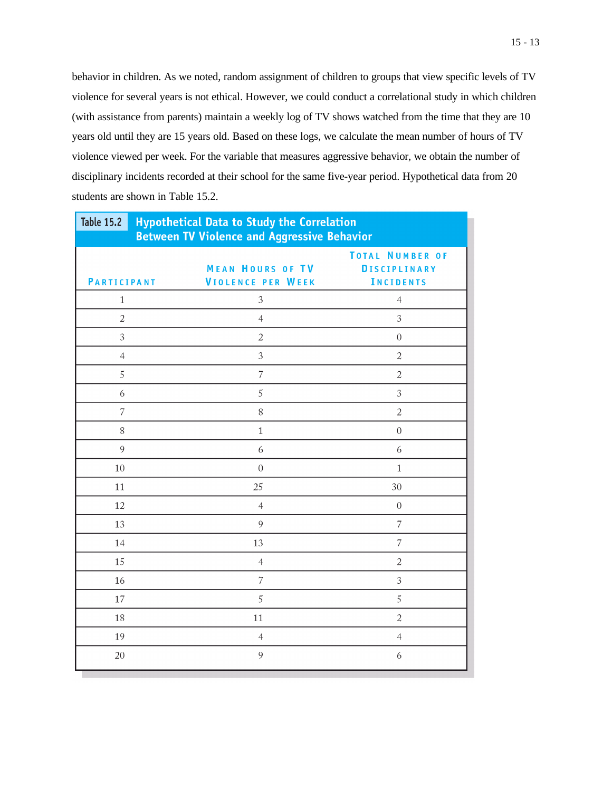behavior in children. As we noted, random assignment of children to groups that view specific levels of TV violence for several years is not ethical. However, we could conduct a correlational study in which children (with assistance from parents) maintain a weekly log of TV shows watched from the time that they are 10 years old until they are 15 years old. Based on these logs, we calculate the mean number of hours of TV violence viewed per week. For the variable that measures aggressive behavior, we obtain the number of disciplinary incidents recorded at their school for the same five-year period. Hypothetical data from 20 students are shown in Table 15.2.

| <b>Table 15.2</b><br><b>Hypothetical Data to Study the Correlation</b><br><b>Between TV Violence and Aggressive Behavior</b> |                                                     |                                                            |  |  |
|------------------------------------------------------------------------------------------------------------------------------|-----------------------------------------------------|------------------------------------------------------------|--|--|
| <b>PARTICIPANT</b>                                                                                                           | <b>MEAN HOURS OF TV</b><br><b>VIOLENCE PER WEEK</b> | <b>TOTAL NUMBER OF</b><br><b>DISCIPLINARY</b><br>INCIDENTS |  |  |
| $\mathbf{1}$                                                                                                                 | $\mathfrak{Z}$                                      | $\overline{4}$                                             |  |  |
| $\overline{2}$                                                                                                               | $\overline{4}$                                      | 3                                                          |  |  |
| 3                                                                                                                            | $\overline{2}$                                      | $\theta$                                                   |  |  |
| $\overline{4}$                                                                                                               | 3                                                   | $\overline{2}$                                             |  |  |
| 5                                                                                                                            | $\overline{7}$                                      | $\mathfrak{2}$                                             |  |  |
| 6                                                                                                                            | 5                                                   | 3                                                          |  |  |
| $\overline{7}$                                                                                                               | 8                                                   | $\overline{2}$                                             |  |  |
| 8                                                                                                                            | $1\,$                                               | $\mathbf 0$                                                |  |  |
| 9                                                                                                                            | 6                                                   | 6                                                          |  |  |
| 10                                                                                                                           | $\overline{0}$                                      | $\mathbf{1}$                                               |  |  |
| 11                                                                                                                           | 25                                                  | 30                                                         |  |  |
| 12                                                                                                                           | $\overline{4}$                                      | $\overline{0}$                                             |  |  |
| 13                                                                                                                           | 9                                                   | $\overline{7}$                                             |  |  |
| 14                                                                                                                           | 13                                                  | $\overline{7}$                                             |  |  |
| 15                                                                                                                           | $\overline{4}$                                      | $\overline{2}$                                             |  |  |
| 16                                                                                                                           | $\overline{7}$                                      | 3                                                          |  |  |
| 17                                                                                                                           | 5                                                   | 5                                                          |  |  |
| 18                                                                                                                           | 11                                                  | $\mathfrak{2}$                                             |  |  |
| 19                                                                                                                           | $\overline{4}$                                      | $\overline{4}$                                             |  |  |
| 20                                                                                                                           | 9                                                   | 6                                                          |  |  |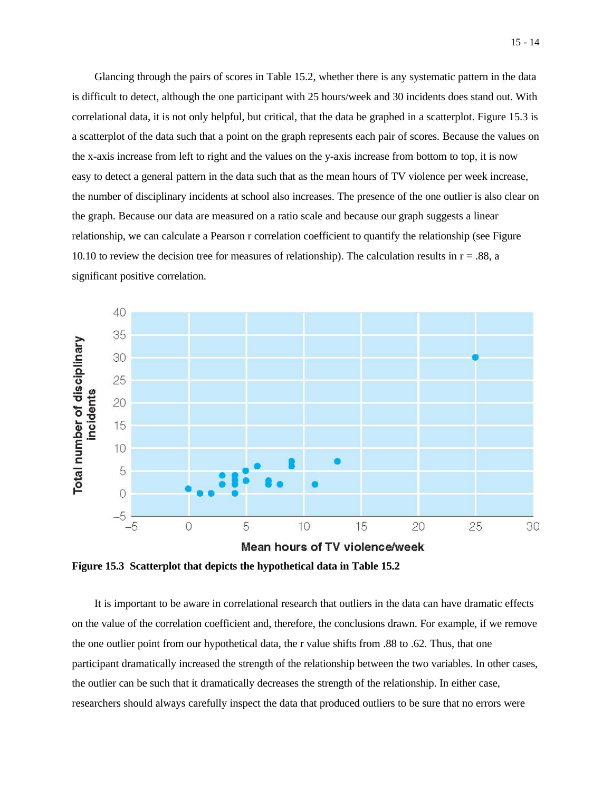Glancing through the pairs of scores in Table 15.2, whether there is any systematic pattern in the data is difficult to detect, although the one participant with 25 hours/week and 30 incidents does stand out. With correlational data, it is not only helpful, but critical, that the data be graphed in a scatterplot. Figure 15.3 is a scatterplot of the data such that a point on the graph represents each pair of scores. Because the values on the x-axis increase from left to right and the values on the y-axis increase from bottom to top, it is now easy to detect a general pattern in the data such that as the mean hours of TV violence per week increase, the number of disciplinary incidents at school also increases. The presence of the one outlier is also clear on the graph. Because our data are measured on a ratio scale and because our graph suggests a linear relationship, we can calculate a Pearson r correlation coefficient to quantify the relationship (see Figure 10.10 to review the decision tree for measures of relationship). The calculation results in  $r = .88$ , a significant positive correlation.



**Figure 15.3 Scatterplot that depicts the hypothetical data in Table 15.2**

It is important to be aware in correlational research that outliers in the data can have dramatic effects on the value of the correlation coefficient and, therefore, the conclusions drawn. For example, if we remove the one outlier point from our hypothetical data, the r value shifts from .88 to .62. Thus, that one participant dramatically increased the strength of the relationship between the two variables. In other cases, the outlier can be such that it dramatically decreases the strength of the relationship. In either case, researchers should always carefully inspect the data that produced outliers to be sure that no errors were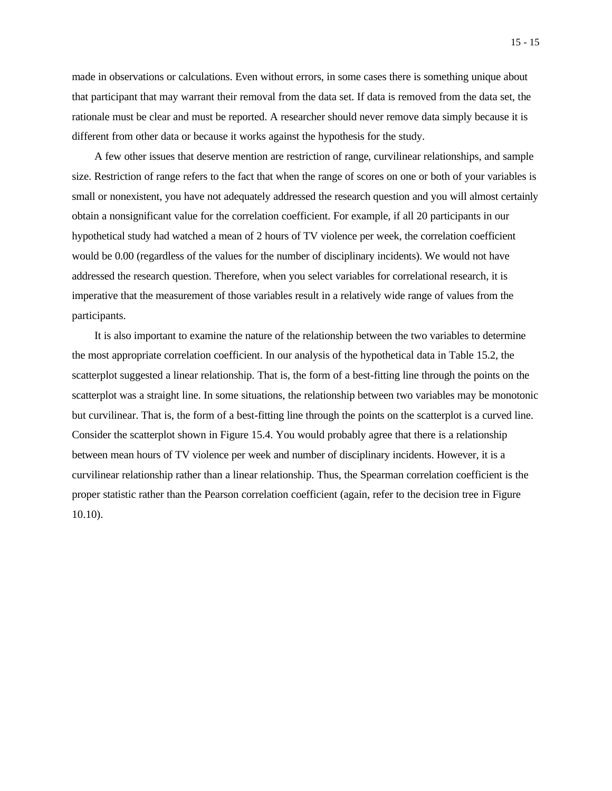made in observations or calculations. Even without errors, in some cases there is something unique about that participant that may warrant their removal from the data set. If data is removed from the data set, the rationale must be clear and must be reported. A researcher should never remove data simply because it is different from other data or because it works against the hypothesis for the study.

A few other issues that deserve mention are restriction of range, curvilinear relationships, and sample size. Restriction of range refers to the fact that when the range of scores on one or both of your variables is small or nonexistent, you have not adequately addressed the research question and you will almost certainly obtain a nonsignificant value for the correlation coefficient. For example, if all 20 participants in our hypothetical study had watched a mean of 2 hours of TV violence per week, the correlation coefficient would be 0.00 (regardless of the values for the number of disciplinary incidents). We would not have addressed the research question. Therefore, when you select variables for correlational research, it is imperative that the measurement of those variables result in a relatively wide range of values from the participants.

It is also important to examine the nature of the relationship between the two variables to determine the most appropriate correlation coefficient. In our analysis of the hypothetical data in Table 15.2, the scatterplot suggested a linear relationship. That is, the form of a best-fitting line through the points on the scatterplot was a straight line. In some situations, the relationship between two variables may be monotonic but curvilinear. That is, the form of a best-fitting line through the points on the scatterplot is a curved line. Consider the scatterplot shown in Figure 15.4. You would probably agree that there is a relationship between mean hours of TV violence per week and number of disciplinary incidents. However, it is a curvilinear relationship rather than a linear relationship. Thus, the Spearman correlation coefficient is the proper statistic rather than the Pearson correlation coefficient (again, refer to the decision tree in Figure 10.10).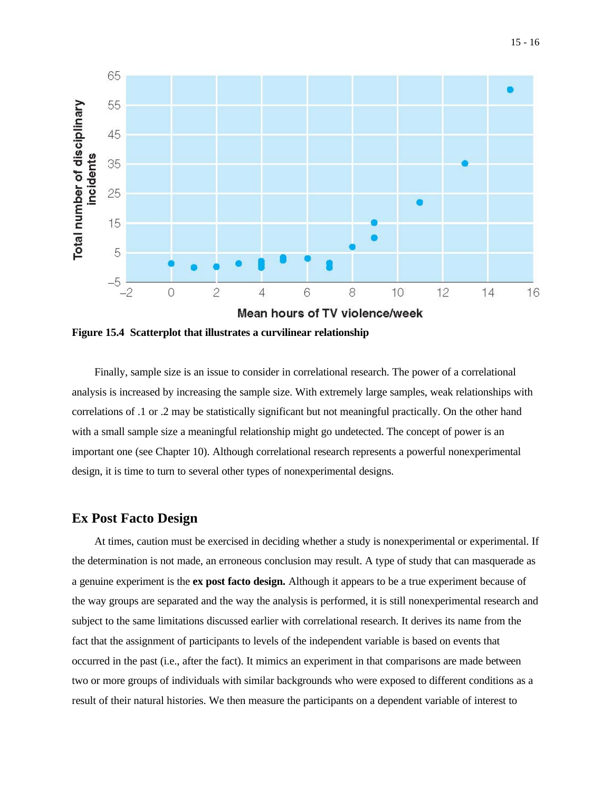

**Figure 15.4 Scatterplot that illustrates a curvilinear relationship**

Finally, sample size is an issue to consider in correlational research. The power of a correlational analysis is increased by increasing the sample size. With extremely large samples, weak relationships with correlations of .1 or .2 may be statistically significant but not meaningful practically. On the other hand with a small sample size a meaningful relationship might go undetected. The concept of power is an important one (see Chapter 10). Although correlational research represents a powerful nonexperimental design, it is time to turn to several other types of nonexperimental designs.

### **Ex Post Facto Design**

At times, caution must be exercised in deciding whether a study is nonexperimental or experimental. If the determination is not made, an erroneous conclusion may result. A type of study that can masquerade as a genuine experiment is the **ex post facto design.** Although it appears to be a true experiment because of the way groups are separated and the way the analysis is performed, it is still nonexperimental research and subject to the same limitations discussed earlier with correlational research. It derives its name from the fact that the assignment of participants to levels of the independent variable is based on events that occurred in the past (i.e., after the fact). It mimics an experiment in that comparisons are made between two or more groups of individuals with similar backgrounds who were exposed to different conditions as a result of their natural histories. We then measure the participants on a dependent variable of interest to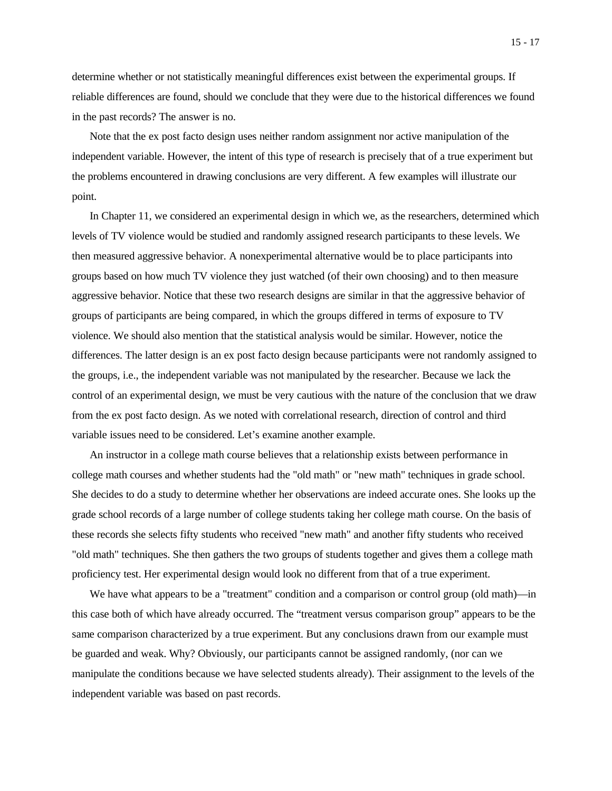determine whether or not statistically meaningful differences exist between the experimental groups. If reliable differences are found, should we conclude that they were due to the historical differences we found in the past records? The answer is no.

Note that the ex post facto design uses neither random assignment nor active manipulation of the independent variable. However, the intent of this type of research is precisely that of a true experiment but the problems encountered in drawing conclusions are very different. A few examples will illustrate our point.

In Chapter 11, we considered an experimental design in which we, as the researchers, determined which levels of TV violence would be studied and randomly assigned research participants to these levels. We then measured aggressive behavior. A nonexperimental alternative would be to place participants into groups based on how much TV violence they just watched (of their own choosing) and to then measure aggressive behavior. Notice that these two research designs are similar in that the aggressive behavior of groups of participants are being compared, in which the groups differed in terms of exposure to TV violence. We should also mention that the statistical analysis would be similar. However, notice the differences. The latter design is an ex post facto design because participants were not randomly assigned to the groups, i.e., the independent variable was not manipulated by the researcher. Because we lack the control of an experimental design, we must be very cautious with the nature of the conclusion that we draw from the ex post facto design. As we noted with correlational research, direction of control and third variable issues need to be considered. Let's examine another example.

An instructor in a college math course believes that a relationship exists between performance in college math courses and whether students had the "old math" or "new math" techniques in grade school. She decides to do a study to determine whether her observations are indeed accurate ones. She looks up the grade school records of a large number of college students taking her college math course. On the basis of these records she selects fifty students who received "new math" and another fifty students who received "old math" techniques. She then gathers the two groups of students together and gives them a college math proficiency test. Her experimental design would look no different from that of a true experiment.

We have what appears to be a "treatment" condition and a comparison or control group (old math)—in this case both of which have already occurred. The "treatment versus comparison group" appears to be the same comparison characterized by a true experiment. But any conclusions drawn from our example must be guarded and weak. Why? Obviously, our participants cannot be assigned randomly, (nor can we manipulate the conditions because we have selected students already). Their assignment to the levels of the independent variable was based on past records.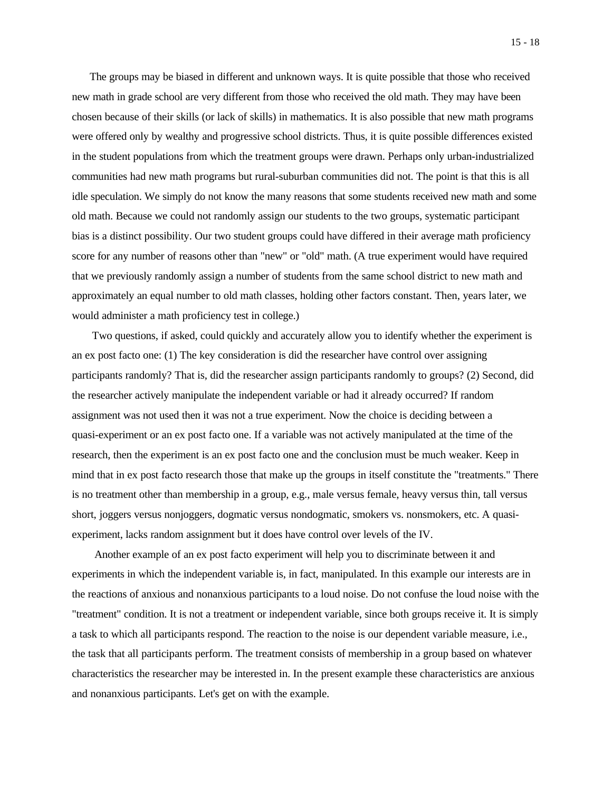15 - 18

The groups may be biased in different and unknown ways. It is quite possible that those who received new math in grade school are very different from those who received the old math. They may have been chosen because of their skills (or lack of skills) in mathematics. It is also possible that new math programs were offered only by wealthy and progressive school districts. Thus, it is quite possible differences existed in the student populations from which the treatment groups were drawn. Perhaps only urban-industrialized communities had new math programs but rural-suburban communities did not. The point is that this is all idle speculation. We simply do not know the many reasons that some students received new math and some old math. Because we could not randomly assign our students to the two groups, systematic participant bias is a distinct possibility. Our two student groups could have differed in their average math proficiency score for any number of reasons other than "new" or "old" math. (A true experiment would have required that we previously randomly assign a number of students from the same school district to new math and approximately an equal number to old math classes, holding other factors constant. Then, years later, we would administer a math proficiency test in college.)

Two questions, if asked, could quickly and accurately allow you to identify whether the experiment is an ex post facto one: (1) The key consideration is did the researcher have control over assigning participants randomly? That is, did the researcher assign participants randomly to groups? (2) Second, did the researcher actively manipulate the independent variable or had it already occurred? If random assignment was not used then it was not a true experiment. Now the choice is deciding between a quasi-experiment or an ex post facto one. If a variable was not actively manipulated at the time of the research, then the experiment is an ex post facto one and the conclusion must be much weaker. Keep in mind that in ex post facto research those that make up the groups in itself constitute the "treatments." There is no treatment other than membership in a group, e.g., male versus female, heavy versus thin, tall versus short, joggers versus nonjoggers, dogmatic versus nondogmatic, smokers vs. nonsmokers, etc. A quasiexperiment, lacks random assignment but it does have control over levels of the IV.

Another example of an ex post facto experiment will help you to discriminate between it and experiments in which the independent variable is, in fact, manipulated. In this example our interests are in the reactions of anxious and nonanxious participants to a loud noise. Do not confuse the loud noise with the "treatment" condition. It is not a treatment or independent variable, since both groups receive it. It is simply a task to which all participants respond. The reaction to the noise is our dependent variable measure, i.e., the task that all participants perform. The treatment consists of membership in a group based on whatever characteristics the researcher may be interested in. In the present example these characteristics are anxious and nonanxious participants. Let's get on with the example.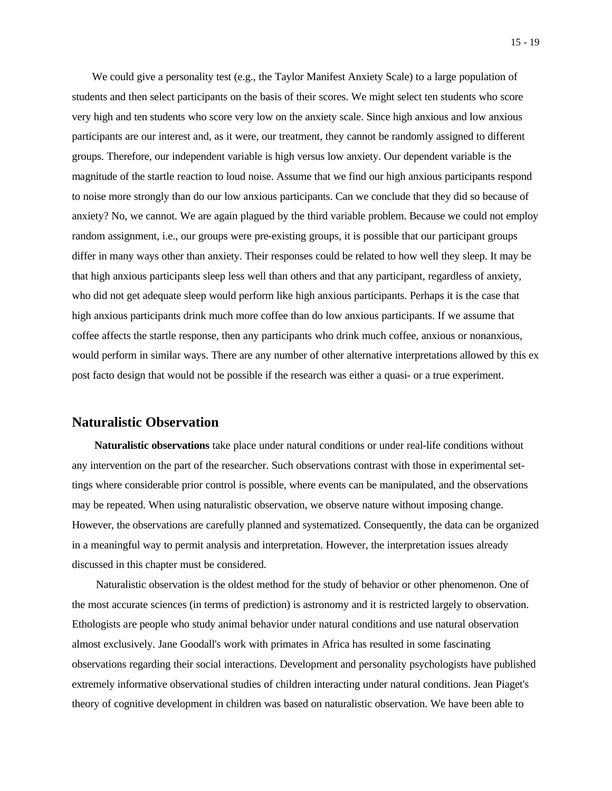15 - 19

We could give a personality test (e.g., the Taylor Manifest Anxiety Scale) to a large population of students and then select participants on the basis of their scores. We might select ten students who score very high and ten students who score very low on the anxiety scale. Since high anxious and low anxious participants are our interest and, as it were, our treatment, they cannot be randomly assigned to different groups. Therefore, our independent variable is high versus low anxiety. Our dependent variable is the magnitude of the startle reaction to loud noise. Assume that we find our high anxious participants respond to noise more strongly than do our low anxious participants. Can we conclude that they did so because of anxiety? No, we cannot. We are again plagued by the third variable problem. Because we could not employ random assignment, i.e., our groups were pre-existing groups, it is possible that our participant groups differ in many ways other than anxiety. Their responses could be related to how well they sleep. It may be that high anxious participants sleep less well than others and that any participant, regardless of anxiety, who did not get adequate sleep would perform like high anxious participants. Perhaps it is the case that high anxious participants drink much more coffee than do low anxious participants. If we assume that coffee affects the startle response, then any participants who drink much coffee, anxious or nonanxious, would perform in similar ways. There are any number of other alternative interpretations allowed by this ex post facto design that would not be possible if the research was either a quasi- or a true experiment.

#### **Naturalistic Observation**

**Naturalistic observations** take place under natural conditions or under real-life conditions without any intervention on the part of the researcher. Such observations contrast with those in experimental settings where considerable prior control is possible, where events can be manipulated, and the observations may be repeated. When using naturalistic observation, we observe nature without imposing change. However, the observations are carefully planned and systematized. Consequently, the data can be organized in a meaningful way to permit analysis and interpretation. However, the interpretation issues already discussed in this chapter must be considered.

Naturalistic observation is the oldest method for the study of behavior or other phenomenon. One of the most accurate sciences (in terms of prediction) is astronomy and it is restricted largely to observation. Ethologists are people who study animal behavior under natural conditions and use natural observation almost exclusively. Jane Goodall's work with primates in Africa has resulted in some fascinating observations regarding their social interactions. Development and personality psychologists have published extremely informative observational studies of children interacting under natural conditions. Jean Piaget's theory of cognitive development in children was based on naturalistic observation. We have been able to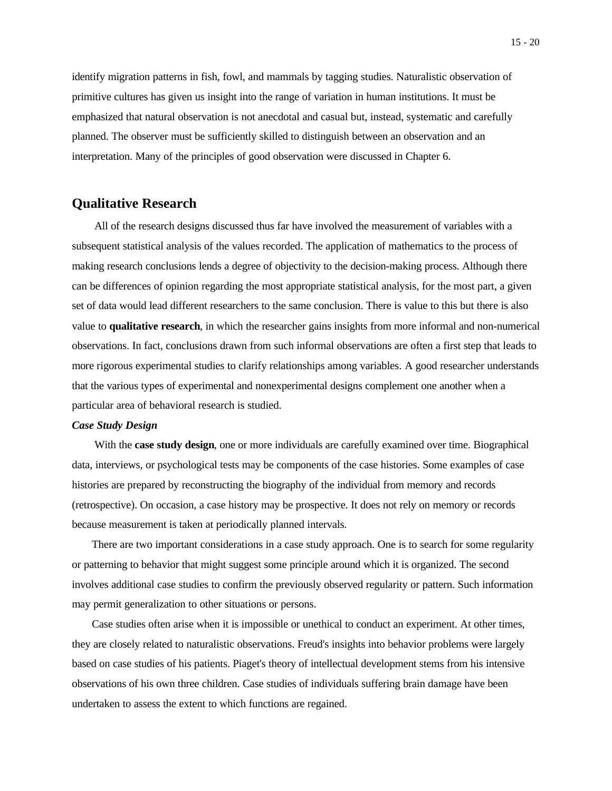identify migration patterns in fish, fowl, and mammals by tagging studies. Naturalistic observation of primitive cultures has given us insight into the range of variation in human institutions. It must be emphasized that natural observation is not anecdotal and casual but, instead, systematic and carefully planned. The observer must be sufficiently skilled to distinguish between an observation and an interpretation. Many of the principles of good observation were discussed in Chapter 6.

### **Qualitative Research**

All of the research designs discussed thus far have involved the measurement of variables with a subsequent statistical analysis of the values recorded. The application of mathematics to the process of making research conclusions lends a degree of objectivity to the decision-making process. Although there can be differences of opinion regarding the most appropriate statistical analysis, for the most part, a given set of data would lead different researchers to the same conclusion. There is value to this but there is also value to **qualitative research**, in which the researcher gains insights from more informal and non-numerical observations. In fact, conclusions drawn from such informal observations are often a first step that leads to more rigorous experimental studies to clarify relationships among variables. A good researcher understands that the various types of experimental and nonexperimental designs complement one another when a particular area of behavioral research is studied.

#### *Case Study Design*

With the **case study design**, one or more individuals are carefully examined over time. Biographical data, interviews, or psychological tests may be components of the case histories. Some examples of case histories are prepared by reconstructing the biography of the individual from memory and records (retrospective). On occasion, a case history may be prospective. It does not rely on memory or records because measurement is taken at periodically planned intervals.

There are two important considerations in a case study approach. One is to search for some regularity or patterning to behavior that might suggest some principle around which it is organized. The second involves additional case studies to confirm the previously observed regularity or pattern. Such information may permit generalization to other situations or persons.

Case studies often arise when it is impossible or unethical to conduct an experiment. At other times, they are closely related to naturalistic observations. Freud's insights into behavior problems were largely based on case studies of his patients. Piaget's theory of intellectual development stems from his intensive observations of his own three children. Case studies of individuals suffering brain damage have been undertaken to assess the extent to which functions are regained.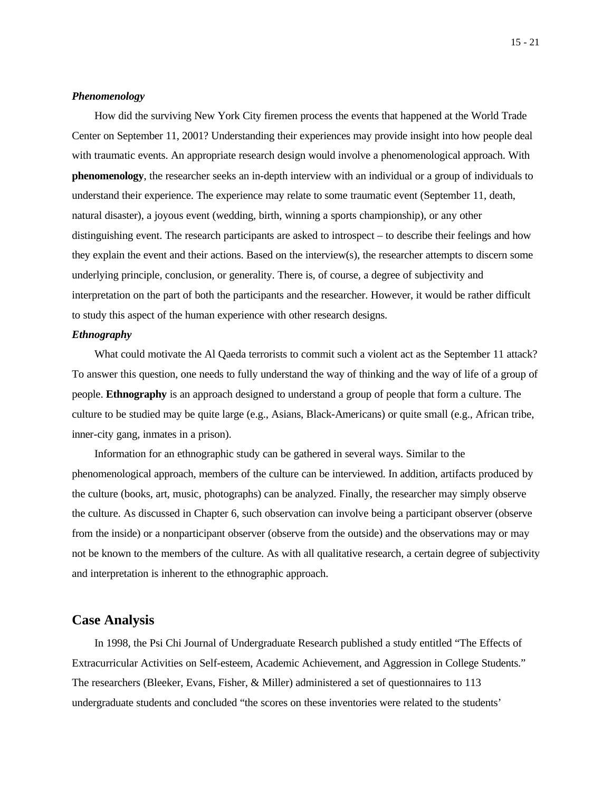#### *Phenomenology*

How did the surviving New York City firemen process the events that happened at the World Trade Center on September 11, 2001? Understanding their experiences may provide insight into how people deal with traumatic events. An appropriate research design would involve a phenomenological approach. With **phenomenology**, the researcher seeks an in-depth interview with an individual or a group of individuals to understand their experience. The experience may relate to some traumatic event (September 11, death, natural disaster), a joyous event (wedding, birth, winning a sports championship), or any other distinguishing event. The research participants are asked to introspect – to describe their feelings and how they explain the event and their actions. Based on the interview(s), the researcher attempts to discern some underlying principle, conclusion, or generality. There is, of course, a degree of subjectivity and interpretation on the part of both the participants and the researcher. However, it would be rather difficult to study this aspect of the human experience with other research designs.

#### *Ethnography*

What could motivate the Al Qaeda terrorists to commit such a violent act as the September 11 attack? To answer this question, one needs to fully understand the way of thinking and the way of life of a group of people. **Ethnography** is an approach designed to understand a group of people that form a culture. The culture to be studied may be quite large (e.g., Asians, Black-Americans) or quite small (e.g., African tribe, inner-city gang, inmates in a prison).

Information for an ethnographic study can be gathered in several ways. Similar to the phenomenological approach, members of the culture can be interviewed. In addition, artifacts produced by the culture (books, art, music, photographs) can be analyzed. Finally, the researcher may simply observe the culture. As discussed in Chapter 6, such observation can involve being a participant observer (observe from the inside) or a nonparticipant observer (observe from the outside) and the observations may or may not be known to the members of the culture. As with all qualitative research, a certain degree of subjectivity and interpretation is inherent to the ethnographic approach.

#### **Case Analysis**

In 1998, the Psi Chi Journal of Undergraduate Research published a study entitled "The Effects of Extracurricular Activities on Self-esteem, Academic Achievement, and Aggression in College Students." The researchers (Bleeker, Evans, Fisher, & Miller) administered a set of questionnaires to 113 undergraduate students and concluded "the scores on these inventories were related to the students'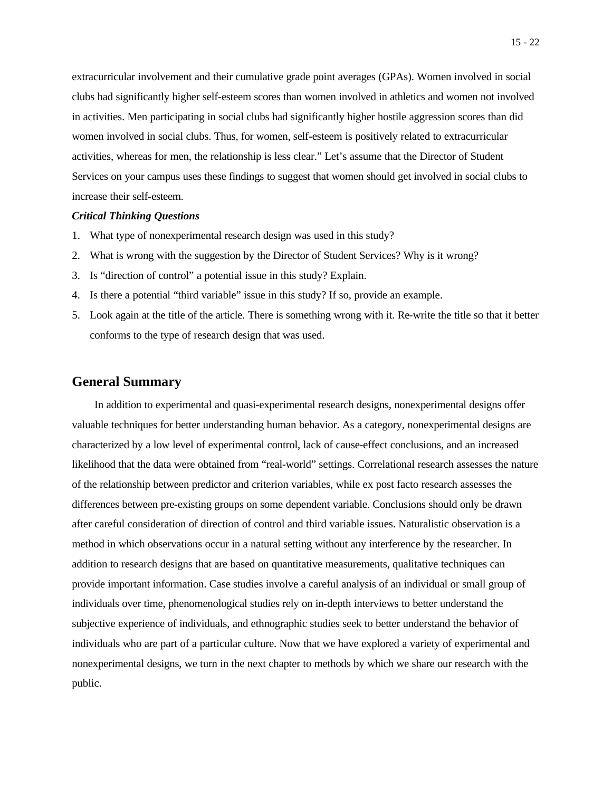extracurricular involvement and their cumulative grade point averages (GPAs). Women involved in social clubs had significantly higher self-esteem scores than women involved in athletics and women not involved in activities. Men participating in social clubs had significantly higher hostile aggression scores than did women involved in social clubs. Thus, for women, self-esteem is positively related to extracurricular activities, whereas for men, the relationship is less clear." Let's assume that the Director of Student Services on your campus uses these findings to suggest that women should get involved in social clubs to increase their self-esteem.

#### *Critical Thinking Questions*

- 1. What type of nonexperimental research design was used in this study?
- 2. What is wrong with the suggestion by the Director of Student Services? Why is it wrong?
- 3. Is "direction of control" a potential issue in this study? Explain.
- 4. Is there a potential "third variable" issue in this study? If so, provide an example.
- 5. Look again at the title of the article. There is something wrong with it. Re-write the title so that it better conforms to the type of research design that was used.

### **General Summary**

In addition to experimental and quasi-experimental research designs, nonexperimental designs offer valuable techniques for better understanding human behavior. As a category, nonexperimental designs are characterized by a low level of experimental control, lack of cause-effect conclusions, and an increased likelihood that the data were obtained from "real-world" settings. Correlational research assesses the nature of the relationship between predictor and criterion variables, while ex post facto research assesses the differences between pre-existing groups on some dependent variable. Conclusions should only be drawn after careful consideration of direction of control and third variable issues. Naturalistic observation is a method in which observations occur in a natural setting without any interference by the researcher. In addition to research designs that are based on quantitative measurements, qualitative techniques can provide important information. Case studies involve a careful analysis of an individual or small group of individuals over time, phenomenological studies rely on in-depth interviews to better understand the subjective experience of individuals, and ethnographic studies seek to better understand the behavior of individuals who are part of a particular culture. Now that we have explored a variety of experimental and nonexperimental designs, we turn in the next chapter to methods by which we share our research with the public.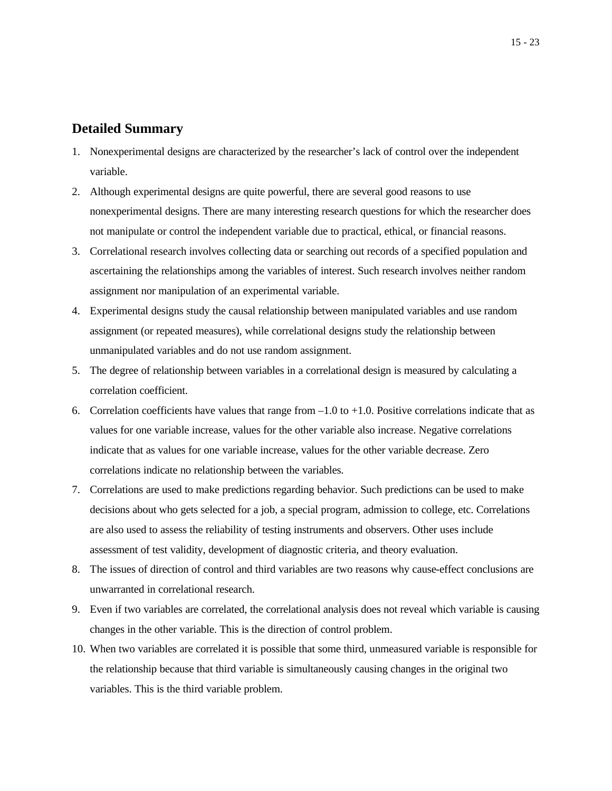## **Detailed Summary**

- 1. Nonexperimental designs are characterized by the researcher's lack of control over the independent variable.
- 2. Although experimental designs are quite powerful, there are several good reasons to use nonexperimental designs. There are many interesting research questions for which the researcher does not manipulate or control the independent variable due to practical, ethical, or financial reasons.
- 3. Correlational research involves collecting data or searching out records of a specified population and ascertaining the relationships among the variables of interest. Such research involves neither random assignment nor manipulation of an experimental variable.
- 4. Experimental designs study the causal relationship between manipulated variables and use random assignment (or repeated measures), while correlational designs study the relationship between unmanipulated variables and do not use random assignment.
- 5. The degree of relationship between variables in a correlational design is measured by calculating a correlation coefficient.
- 6. Correlation coefficients have values that range from  $-1.0$  to  $+1.0$ . Positive correlations indicate that as values for one variable increase, values for the other variable also increase. Negative correlations indicate that as values for one variable increase, values for the other variable decrease. Zero correlations indicate no relationship between the variables.
- 7. Correlations are used to make predictions regarding behavior. Such predictions can be used to make decisions about who gets selected for a job, a special program, admission to college, etc. Correlations are also used to assess the reliability of testing instruments and observers. Other uses include assessment of test validity, development of diagnostic criteria, and theory evaluation.
- 8. The issues of direction of control and third variables are two reasons why cause-effect conclusions are unwarranted in correlational research.
- 9. Even if two variables are correlated, the correlational analysis does not reveal which variable is causing changes in the other variable. This is the direction of control problem.
- 10. When two variables are correlated it is possible that some third, unmeasured variable is responsible for the relationship because that third variable is simultaneously causing changes in the original two variables. This is the third variable problem.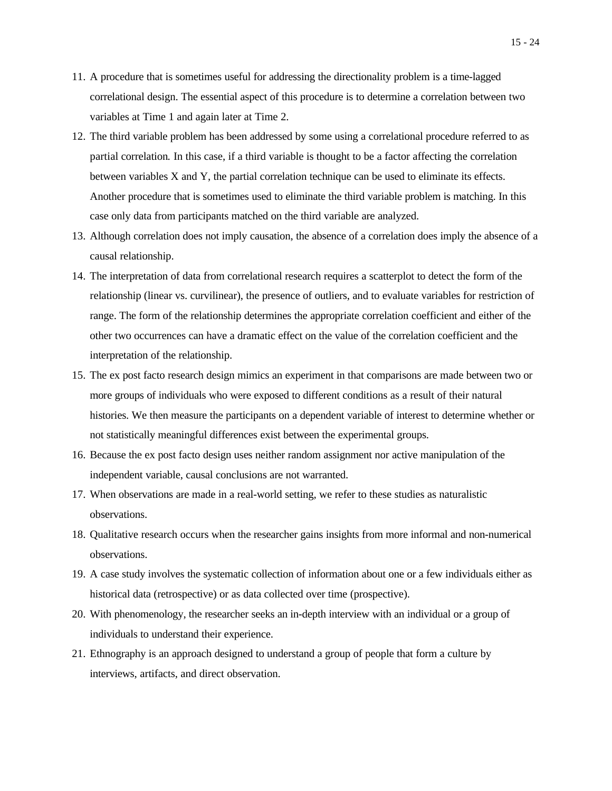- 11. A procedure that is sometimes useful for addressing the directionality problem is a time-lagged correlational design. The essential aspect of this procedure is to determine a correlation between two variables at Time 1 and again later at Time 2.
- 12. The third variable problem has been addressed by some using a correlational procedure referred to as partial correlation*.* In this case, if a third variable is thought to be a factor affecting the correlation between variables X and Y, the partial correlation technique can be used to eliminate its effects. Another procedure that is sometimes used to eliminate the third variable problem is matching. In this case only data from participants matched on the third variable are analyzed.
- 13. Although correlation does not imply causation, the absence of a correlation does imply the absence of a causal relationship.
- 14. The interpretation of data from correlational research requires a scatterplot to detect the form of the relationship (linear vs. curvilinear), the presence of outliers, and to evaluate variables for restriction of range. The form of the relationship determines the appropriate correlation coefficient and either of the other two occurrences can have a dramatic effect on the value of the correlation coefficient and the interpretation of the relationship.
- 15. The ex post facto research design mimics an experiment in that comparisons are made between two or more groups of individuals who were exposed to different conditions as a result of their natural histories. We then measure the participants on a dependent variable of interest to determine whether or not statistically meaningful differences exist between the experimental groups.
- 16. Because the ex post facto design uses neither random assignment nor active manipulation of the independent variable, causal conclusions are not warranted.
- 17. When observations are made in a real-world setting, we refer to these studies as naturalistic observations.
- 18. Qualitative research occurs when the researcher gains insights from more informal and non-numerical observations.
- 19. A case study involves the systematic collection of information about one or a few individuals either as historical data (retrospective) or as data collected over time (prospective).
- 20. With phenomenology, the researcher seeks an in-depth interview with an individual or a group of individuals to understand their experience.
- 21. Ethnography is an approach designed to understand a group of people that form a culture by interviews, artifacts, and direct observation.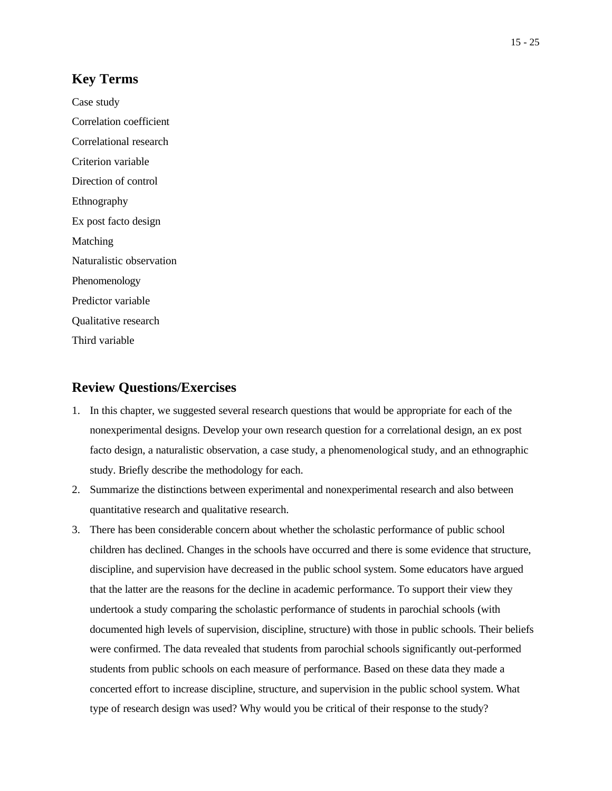# **Key Terms**

Case study Correlation coefficient Correlational research Criterion variable Direction of control Ethnography Ex post facto design Matching Naturalistic observation Phenomenology Predictor variable Qualitative research Third variable

### **Review Questions/Exercises**

- 1. In this chapter, we suggested several research questions that would be appropriate for each of the nonexperimental designs. Develop your own research question for a correlational design, an ex post facto design, a naturalistic observation, a case study, a phenomenological study, and an ethnographic study. Briefly describe the methodology for each.
- 2. Summarize the distinctions between experimental and nonexperimental research and also between quantitative research and qualitative research.
- 3. There has been considerable concern about whether the scholastic performance of public school children has declined. Changes in the schools have occurred and there is some evidence that structure, discipline, and supervision have decreased in the public school system. Some educators have argued that the latter are the reasons for the decline in academic performance. To support their view they undertook a study comparing the scholastic performance of students in parochial schools (with documented high levels of supervision, discipline, structure) with those in public schools. Their beliefs were confirmed. The data revealed that students from parochial schools significantly out-performed students from public schools on each measure of performance. Based on these data they made a concerted effort to increase discipline, structure, and supervision in the public school system. What type of research design was used? Why would you be critical of their response to the study?